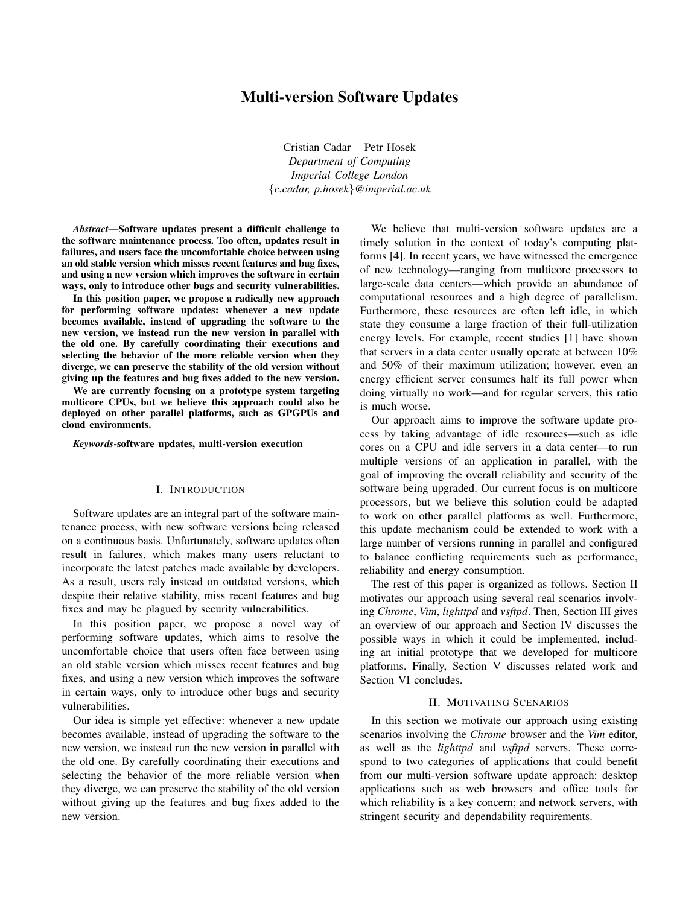# Multi-version Software Updates

Cristian Cadar Petr Hosek *Department of Computing Imperial College London* {*c.cadar, p.hosek*}*@imperial.ac.uk*

*Abstract*—Software updates present a difficult challenge to the software maintenance process. Too often, updates result in failures, and users face the uncomfortable choice between using an old stable version which misses recent features and bug fixes, and using a new version which improves the software in certain ways, only to introduce other bugs and security vulnerabilities.

In this position paper, we propose a radically new approach for performing software updates: whenever a new update becomes available, instead of upgrading the software to the new version, we instead run the new version in parallel with the old one. By carefully coordinating their executions and selecting the behavior of the more reliable version when they diverge, we can preserve the stability of the old version without giving up the features and bug fixes added to the new version.

We are currently focusing on a prototype system targeting multicore CPUs, but we believe this approach could also be deployed on other parallel platforms, such as GPGPUs and cloud environments.

*Keywords*-software updates, multi-version execution

# I. INTRODUCTION

Software updates are an integral part of the software maintenance process, with new software versions being released on a continuous basis. Unfortunately, software updates often result in failures, which makes many users reluctant to incorporate the latest patches made available by developers. As a result, users rely instead on outdated versions, which despite their relative stability, miss recent features and bug fixes and may be plagued by security vulnerabilities.

In this position paper, we propose a novel way of performing software updates, which aims to resolve the uncomfortable choice that users often face between using an old stable version which misses recent features and bug fixes, and using a new version which improves the software in certain ways, only to introduce other bugs and security vulnerabilities.

Our idea is simple yet effective: whenever a new update becomes available, instead of upgrading the software to the new version, we instead run the new version in parallel with the old one. By carefully coordinating their executions and selecting the behavior of the more reliable version when they diverge, we can preserve the stability of the old version without giving up the features and bug fixes added to the new version.

We believe that multi-version software updates are a timely solution in the context of today's computing platforms [4]. In recent years, we have witnessed the emergence of new technology—ranging from multicore processors to large-scale data centers—which provide an abundance of computational resources and a high degree of parallelism. Furthermore, these resources are often left idle, in which state they consume a large fraction of their full-utilization energy levels. For example, recent studies [1] have shown that servers in a data center usually operate at between 10% and 50% of their maximum utilization; however, even an energy efficient server consumes half its full power when doing virtually no work—and for regular servers, this ratio is much worse.

Our approach aims to improve the software update process by taking advantage of idle resources—such as idle cores on a CPU and idle servers in a data center—to run multiple versions of an application in parallel, with the goal of improving the overall reliability and security of the software being upgraded. Our current focus is on multicore processors, but we believe this solution could be adapted to work on other parallel platforms as well. Furthermore, this update mechanism could be extended to work with a large number of versions running in parallel and configured to balance conflicting requirements such as performance, reliability and energy consumption.

The rest of this paper is organized as follows. Section II motivates our approach using several real scenarios involving *Chrome*, *Vim*, *lighttpd* and *vsftpd*. Then, Section III gives an overview of our approach and Section IV discusses the possible ways in which it could be implemented, including an initial prototype that we developed for multicore platforms. Finally, Section V discusses related work and Section VI concludes.

#### II. MOTIVATING SCENARIOS

In this section we motivate our approach using existing scenarios involving the *Chrome* browser and the *Vim* editor, as well as the *lighttpd* and *vsftpd* servers. These correspond to two categories of applications that could benefit from our multi-version software update approach: desktop applications such as web browsers and office tools for which reliability is a key concern; and network servers, with stringent security and dependability requirements.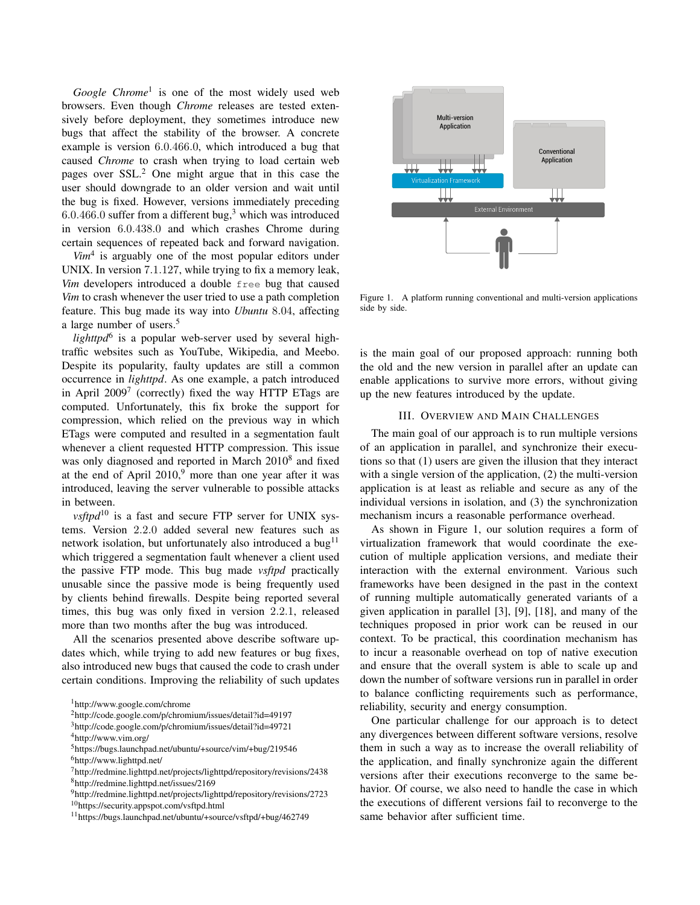Google Chrome<sup>1</sup> is one of the most widely used web browsers. Even though *Chrome* releases are tested extensively before deployment, they sometimes introduce new bugs that affect the stability of the browser. A concrete example is version 6.0.466.0, which introduced a bug that caused *Chrome* to crash when trying to load certain web pages over SSL.<sup>2</sup> One might argue that in this case the user should downgrade to an older version and wait until the bug is fixed. However, versions immediately preceding  $6.0.466.0$  suffer from a different bug,<sup>3</sup> which was introduced in version 6.0.438.0 and which crashes Chrome during certain sequences of repeated back and forward navigation.

*Vim*<sup>4</sup> is arguably one of the most popular editors under UNIX. In version 7.1.127, while trying to fix a memory leak, *Vim* developers introduced a double free bug that caused *Vim* to crash whenever the user tried to use a path completion feature. This bug made its way into *Ubuntu* 8.04, affecting a large number of users.<sup>5</sup>

*lighttpd*<sup>6</sup> is a popular web-server used by several hightraffic websites such as YouTube, Wikipedia, and Meebo. Despite its popularity, faulty updates are still a common occurrence in *lighttpd*. As one example, a patch introduced in April 2009<sup>7</sup> (correctly) fixed the way HTTP ETags are computed. Unfortunately, this fix broke the support for compression, which relied on the previous way in which ETags were computed and resulted in a segmentation fault whenever a client requested HTTP compression. This issue was only diagnosed and reported in March 2010<sup>8</sup> and fixed at the end of April  $2010<sup>9</sup>$  more than one year after it was introduced, leaving the server vulnerable to possible attacks in between.

 $v$ *sftpd*<sup>10</sup> is a fast and secure FTP server for UNIX systems. Version 2.2.0 added several new features such as network isolation, but unfortunately also introduced a bug<sup>11</sup> which triggered a segmentation fault whenever a client used the passive FTP mode. This bug made *vsftpd* practically unusable since the passive mode is being frequently used by clients behind firewalls. Despite being reported several times, this bug was only fixed in version 2.2.1, released more than two months after the bug was introduced.

All the scenarios presented above describe software updates which, while trying to add new features or bug fixes, also introduced new bugs that caused the code to crash under certain conditions. Improving the reliability of such updates

- <sup>3</sup>http://code.google.com/p/chromium/issues/detail?id=49721
- <sup>4</sup>http://www.vim.org/



Figure 1. A platform running conventional and multi-version applications side by side.

is the main goal of our proposed approach: running both the old and the new version in parallel after an update can enable applications to survive more errors, without giving up the new features introduced by the update.

#### III. OVERVIEW AND MAIN CHALLENGES

The main goal of our approach is to run multiple versions of an application in parallel, and synchronize their executions so that (1) users are given the illusion that they interact with a single version of the application, (2) the multi-version application is at least as reliable and secure as any of the individual versions in isolation, and (3) the synchronization mechanism incurs a reasonable performance overhead.

As shown in Figure 1, our solution requires a form of virtualization framework that would coordinate the execution of multiple application versions, and mediate their interaction with the external environment. Various such frameworks have been designed in the past in the context of running multiple automatically generated variants of a given application in parallel [3], [9], [18], and many of the techniques proposed in prior work can be reused in our context. To be practical, this coordination mechanism has to incur a reasonable overhead on top of native execution and ensure that the overall system is able to scale up and down the number of software versions run in parallel in order to balance conflicting requirements such as performance, reliability, security and energy consumption.

One particular challenge for our approach is to detect any divergences between different software versions, resolve them in such a way as to increase the overall reliability of the application, and finally synchronize again the different versions after their executions reconverge to the same behavior. Of course, we also need to handle the case in which the executions of different versions fail to reconverge to the same behavior after sufficient time.

<sup>1</sup>http://www.google.com/chrome

<sup>2</sup>http://code.google.com/p/chromium/issues/detail?id=49197

<sup>5</sup>https://bugs.launchpad.net/ubuntu/+source/vim/+bug/219546

<sup>6</sup>http://www.lighttpd.net/

<sup>7</sup>http://redmine.lighttpd.net/projects/lighttpd/repository/revisions/2438 <sup>8</sup>http://redmine.lighttpd.net/issues/2169

<sup>9</sup>http://redmine.lighttpd.net/projects/lighttpd/repository/revisions/2723

<sup>10</sup>https://security.appspot.com/vsftpd.html

<sup>11</sup>https://bugs.launchpad.net/ubuntu/+source/vsftpd/+bug/462749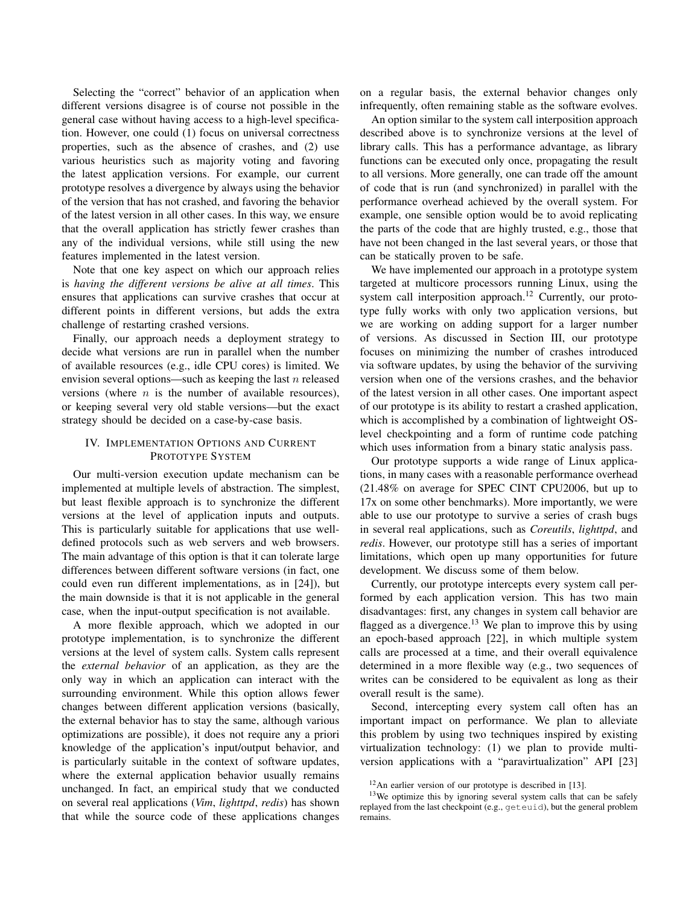Selecting the "correct" behavior of an application when different versions disagree is of course not possible in the general case without having access to a high-level specification. However, one could (1) focus on universal correctness properties, such as the absence of crashes, and (2) use various heuristics such as majority voting and favoring the latest application versions. For example, our current prototype resolves a divergence by always using the behavior of the version that has not crashed, and favoring the behavior of the latest version in all other cases. In this way, we ensure that the overall application has strictly fewer crashes than any of the individual versions, while still using the new features implemented in the latest version.

Note that one key aspect on which our approach relies is *having the different versions be alive at all times*. This ensures that applications can survive crashes that occur at different points in different versions, but adds the extra challenge of restarting crashed versions.

Finally, our approach needs a deployment strategy to decide what versions are run in parallel when the number of available resources (e.g., idle CPU cores) is limited. We envision several options—such as keeping the last  $n$  released versions (where  $n$  is the number of available resources), or keeping several very old stable versions—but the exact strategy should be decided on a case-by-case basis.

# IV. IMPLEMENTATION OPTIONS AND CURRENT PROTOTYPE SYSTEM

Our multi-version execution update mechanism can be implemented at multiple levels of abstraction. The simplest, but least flexible approach is to synchronize the different versions at the level of application inputs and outputs. This is particularly suitable for applications that use welldefined protocols such as web servers and web browsers. The main advantage of this option is that it can tolerate large differences between different software versions (in fact, one could even run different implementations, as in [24]), but the main downside is that it is not applicable in the general case, when the input-output specification is not available.

A more flexible approach, which we adopted in our prototype implementation, is to synchronize the different versions at the level of system calls. System calls represent the *external behavior* of an application, as they are the only way in which an application can interact with the surrounding environment. While this option allows fewer changes between different application versions (basically, the external behavior has to stay the same, although various optimizations are possible), it does not require any a priori knowledge of the application's input/output behavior, and is particularly suitable in the context of software updates, where the external application behavior usually remains unchanged. In fact, an empirical study that we conducted on several real applications (*Vim*, *lighttpd*, *redis*) has shown that while the source code of these applications changes on a regular basis, the external behavior changes only infrequently, often remaining stable as the software evolves.

An option similar to the system call interposition approach described above is to synchronize versions at the level of library calls. This has a performance advantage, as library functions can be executed only once, propagating the result to all versions. More generally, one can trade off the amount of code that is run (and synchronized) in parallel with the performance overhead achieved by the overall system. For example, one sensible option would be to avoid replicating the parts of the code that are highly trusted, e.g., those that have not been changed in the last several years, or those that can be statically proven to be safe.

We have implemented our approach in a prototype system targeted at multicore processors running Linux, using the system call interposition approach.<sup>12</sup> Currently, our prototype fully works with only two application versions, but we are working on adding support for a larger number of versions. As discussed in Section III, our prototype focuses on minimizing the number of crashes introduced via software updates, by using the behavior of the surviving version when one of the versions crashes, and the behavior of the latest version in all other cases. One important aspect of our prototype is its ability to restart a crashed application, which is accomplished by a combination of lightweight OSlevel checkpointing and a form of runtime code patching which uses information from a binary static analysis pass.

Our prototype supports a wide range of Linux applications, in many cases with a reasonable performance overhead (21.48% on average for SPEC CINT CPU2006, but up to 17x on some other benchmarks). More importantly, we were able to use our prototype to survive a series of crash bugs in several real applications, such as *Coreutils*, *lighttpd*, and *redis*. However, our prototype still has a series of important limitations, which open up many opportunities for future development. We discuss some of them below.

Currently, our prototype intercepts every system call performed by each application version. This has two main disadvantages: first, any changes in system call behavior are flagged as a divergence.<sup>13</sup> We plan to improve this by using an epoch-based approach [22], in which multiple system calls are processed at a time, and their overall equivalence determined in a more flexible way (e.g., two sequences of writes can be considered to be equivalent as long as their overall result is the same).

Second, intercepting every system call often has an important impact on performance. We plan to alleviate this problem by using two techniques inspired by existing virtualization technology: (1) we plan to provide multiversion applications with a "paravirtualization" API [23]

<sup>12</sup>An earlier version of our prototype is described in [13].

 $13$ We optimize this by ignoring several system calls that can be safely replayed from the last checkpoint (e.g., geteuid), but the general problem remains.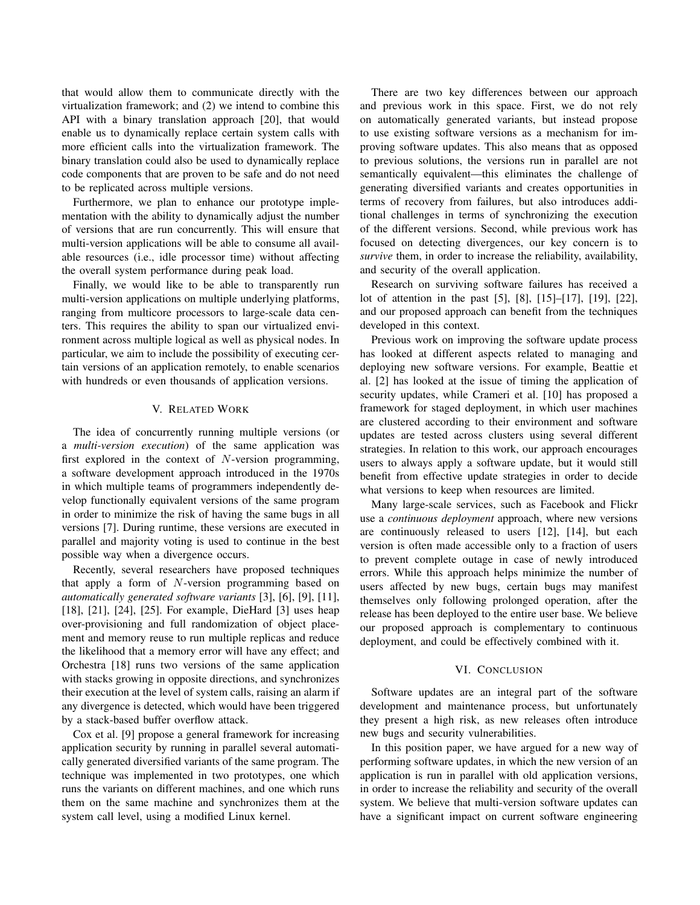that would allow them to communicate directly with the virtualization framework; and (2) we intend to combine this API with a binary translation approach [20], that would enable us to dynamically replace certain system calls with more efficient calls into the virtualization framework. The binary translation could also be used to dynamically replace code components that are proven to be safe and do not need to be replicated across multiple versions.

Furthermore, we plan to enhance our prototype implementation with the ability to dynamically adjust the number of versions that are run concurrently. This will ensure that multi-version applications will be able to consume all available resources (i.e., idle processor time) without affecting the overall system performance during peak load.

Finally, we would like to be able to transparently run multi-version applications on multiple underlying platforms, ranging from multicore processors to large-scale data centers. This requires the ability to span our virtualized environment across multiple logical as well as physical nodes. In particular, we aim to include the possibility of executing certain versions of an application remotely, to enable scenarios with hundreds or even thousands of application versions.

### V. RELATED WORK

The idea of concurrently running multiple versions (or a *multi-version execution*) of the same application was first explored in the context of  $N$ -version programming, a software development approach introduced in the 1970s in which multiple teams of programmers independently develop functionally equivalent versions of the same program in order to minimize the risk of having the same bugs in all versions [7]. During runtime, these versions are executed in parallel and majority voting is used to continue in the best possible way when a divergence occurs.

Recently, several researchers have proposed techniques that apply a form of N-version programming based on *automatically generated software variants* [3], [6], [9], [11], [18], [21], [24], [25]. For example, DieHard [3] uses heap over-provisioning and full randomization of object placement and memory reuse to run multiple replicas and reduce the likelihood that a memory error will have any effect; and Orchestra [18] runs two versions of the same application with stacks growing in opposite directions, and synchronizes their execution at the level of system calls, raising an alarm if any divergence is detected, which would have been triggered by a stack-based buffer overflow attack.

Cox et al. [9] propose a general framework for increasing application security by running in parallel several automatically generated diversified variants of the same program. The technique was implemented in two prototypes, one which runs the variants on different machines, and one which runs them on the same machine and synchronizes them at the system call level, using a modified Linux kernel.

There are two key differences between our approach and previous work in this space. First, we do not rely on automatically generated variants, but instead propose to use existing software versions as a mechanism for improving software updates. This also means that as opposed to previous solutions, the versions run in parallel are not semantically equivalent—this eliminates the challenge of generating diversified variants and creates opportunities in terms of recovery from failures, but also introduces additional challenges in terms of synchronizing the execution of the different versions. Second, while previous work has focused on detecting divergences, our key concern is to *survive* them, in order to increase the reliability, availability, and security of the overall application.

Research on surviving software failures has received a lot of attention in the past [5], [8], [15]–[17], [19], [22], and our proposed approach can benefit from the techniques developed in this context.

Previous work on improving the software update process has looked at different aspects related to managing and deploying new software versions. For example, Beattie et al. [2] has looked at the issue of timing the application of security updates, while Crameri et al. [10] has proposed a framework for staged deployment, in which user machines are clustered according to their environment and software updates are tested across clusters using several different strategies. In relation to this work, our approach encourages users to always apply a software update, but it would still benefit from effective update strategies in order to decide what versions to keep when resources are limited.

Many large-scale services, such as Facebook and Flickr use a *continuous deployment* approach, where new versions are continuously released to users [12], [14], but each version is often made accessible only to a fraction of users to prevent complete outage in case of newly introduced errors. While this approach helps minimize the number of users affected by new bugs, certain bugs may manifest themselves only following prolonged operation, after the release has been deployed to the entire user base. We believe our proposed approach is complementary to continuous deployment, and could be effectively combined with it.

## VI. CONCLUSION

Software updates are an integral part of the software development and maintenance process, but unfortunately they present a high risk, as new releases often introduce new bugs and security vulnerabilities.

In this position paper, we have argued for a new way of performing software updates, in which the new version of an application is run in parallel with old application versions, in order to increase the reliability and security of the overall system. We believe that multi-version software updates can have a significant impact on current software engineering